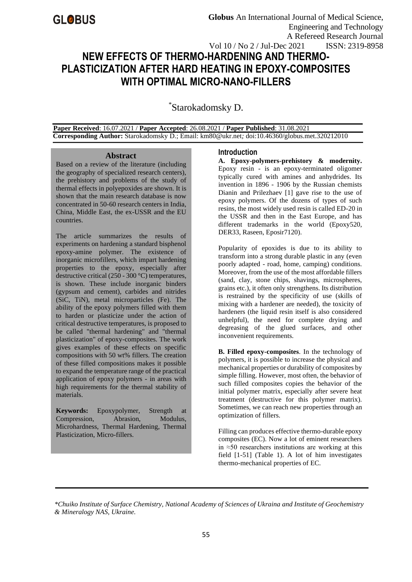# **NEW EFFECTS OF THERMO-HARDENING AND THERMO-PLASTICIZATION AFTER HARD HEATING IN EPOXY-COMPOSITES WITH OPTIMAL MICRO-NANO-FILLERS** Vol 10 / No 2 / Jul-Dec 2021 ISSN: 2319-8958

\* Starokadomsky D.

 **Paper Received**: 16.07.2021 / **Paper Accepted**: 26.08.2021 / **Paper Published**: 31.08.2021  **Corresponding Author:** Starokadomsky D.; Email: km80@ukr.net*;* doi:10.46360/globus.met.320212010

#### **Abstract**

Based on a review of the literature (including the geography of specialized research centers), the prehistory and problems of the study of thermal effects in polyepoxides are shown. It is shown that the main research database is now concentrated in 50-60 research centers in India, China, Middle East, the ex-USSR and the EU countries.

The article summarizes the results of experiments on hardening a standard bisphenol epoxy-amine polymer. The existence of inorganic microfillers, which impart hardening properties to the epoxy, especially after destructive critical (250 - 300 °C) temperatures, is shown. These include inorganic binders (gypsum and cement), carbides and nitrides (SiC, TiN), metal microparticles (Fe). The ability of the epoxy polymers filled with them to harden or plasticize under the action of critical destructive temperatures, is proposed to be called "thermal hardening" and "thermal plasticization" of epoxy-composites. The work gives examples of these effects on specific compositions with 50 wt% fillers. The creation of these filled compositions makes it possible to expand the temperature range of the practical application of epoxy polymers - in areas with high requirements for the thermal stability of materials.

**Keywords:** Epoxypolymer, Strength at Compression, Abrasion, Modulus, Microhardness, Thermal Hardening, Thermal Plasticization, Micro-fillers.

### **Introduction**

**A. Epoxy-polymers-prehistory & modernity.** Epoxy resin - is an epoxy-terminated oligomer typically cured with amines and anhydrides. Its invention in 1896 - 1906 by the Russian chemists Dianin and Prilezhaev [1] gave rise to the use of epoxy polymers. Of the dozens of types of such resins, the most widely used resin is called ED-20 in the USSR and then in the East Europe, and has different trademarks in the world (Epoxy520, DER33, Raseen, Eposir7120).

Popularity of epoxides is due to its ability to transform into a strong durable plastic in any (even poorly adapted - road, home, camping) conditions. Moreover, from the use of the most affordable fillers (sand, clay, stone chips, shavings, microspheres, grains etc.), it often only strengthens. Its distribution is restrained by the specificity of use (skills of mixing with a hardener are needed), the toxicity of hardeners (the liquid resin itself is also considered unhelpful), the need for complete drying and degreasing of the glued surfaces, and other inconvenient requirements.

**B. Filled epoxy-composites**. In the technology of polymers, it is possible to increase the physical and mechanical properties or durability of composites by simple filling. However, most often, the behavior of such filled composites copies the behavior of the initial polymer matrix, especially after severe heat treatment (destructive for this polymer matrix). Sometimes, we can reach new properties through an optimization of fillers.

Filling can produces effective thermo-durable epoxy composites (EC). Now a lot of eminent researchers in ≈50 researchers institutions are working at this field [1-51] (Table 1). A lot of him investigates thermo-mechanical properties of EC.

*\*Chuiko Institute of Surface Chemistry, National Academy of Sciences of Ukraina and Institute of Geochemistry & Mineralogy NAS, Ukraine[.](https://www.iau.org/administration/membership/national/members/27/)*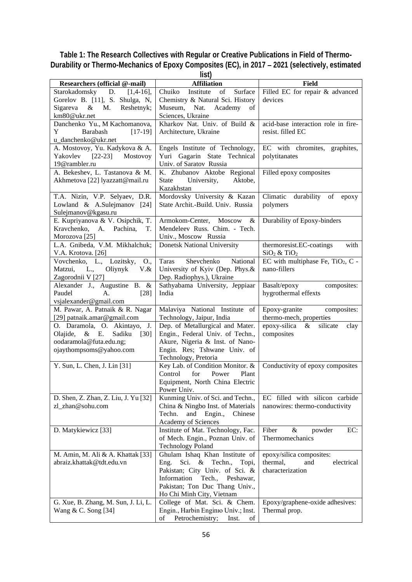## **Table 1: The Research Collectives with Regular or Creative Publications in Field of Thermo-Durability or Thermo-Mechanics of Epoxy Composites (EC), in 2017** − **2021 (selectively, estimated**

| ×<br>$\sim$<br>۰, |  |
|-------------------|--|

|                                                       | ווסוו                                |                                               |
|-------------------------------------------------------|--------------------------------------|-----------------------------------------------|
| Researchers (official @-mail)                         | <b>Affiliation</b>                   | <b>Field</b>                                  |
| Starokadomsky<br>$[1,4-16]$ ,<br>D.                   | Chuiko<br>Institute<br>of<br>Surface | Filled EC for repair & advanced               |
| Gorelov B. [11], S. Shulga, N,                        | Chemistry & Natural Sci. History     | devices                                       |
| Sigareva $\&$<br>M.<br>Reshetnyk;                     | Museum,<br>Nat.<br>Academy<br>of     |                                               |
| km80@ukr.net                                          | Sciences, Ukraine                    |                                               |
| Danchenko Yu., M Kachomanova,                         | Kharkov Nat. Univ. of Build &        | acid-base interaction role in fire-           |
| Y<br>$[17-19]$<br>Barabash                            | Architecture, Ukraine                | resist. filled EC                             |
| u_danchenko@ukr.net                                   |                                      |                                               |
| A. Mostovoy, Yu. Kadykova & A.                        | Engels Institute of Technology,      | EC with chromites, graphites,                 |
| $[22-23]$ Mostovoy<br>Yakovlev                        | Yuri Gagarin State Technical         | polytitanates                                 |
| 19@rambler.ru                                         | Univ. of Saratov Russia              |                                               |
| A. Bekeshev, L. Tastanova & M.                        | K. Zhubanov Aktobe Regional          |                                               |
|                                                       |                                      | Filled epoxy composites                       |
| Akhmetova [22] lyazzatt@mail.ru                       | State<br>University,<br>Aktobe,      |                                               |
|                                                       | Kazakhstan                           |                                               |
| T.A. Nizin, V.P. Selyaev, D.R.                        | Mordovsky University & Kazan         | Climatic<br>durability<br>of<br>epoxy         |
| Lowland & A.Sulejmanov [24]                           | State Archit.-Build. Univ. Russia    | polymers                                      |
| Sulejmanov@kgasu.ru                                   |                                      |                                               |
| E. Kupriyanova & V. Osipchik, T.                      | Armokom-Center,<br>Moscow<br>&       | Durability of Epoxy-binders                   |
| Kravchenko, A.<br>Pachina,<br>Т.                      | Mendeleev Russ. Chim. - Tech.        |                                               |
| Morozova <sup>[25]</sup>                              | Univ., Moscow Russia                 |                                               |
| L.A. Gnibeda, V.M. Mikhalchuk;                        | <b>Donetsk National University</b>   | thermoresist.EC-coatings<br>with              |
| V.A. Krotova. [26]                                    |                                      | $SiO2 \& TiO2$                                |
| Vovchenko, L., Lozitsky,<br>O.,                       | Shevchenko<br>National<br>Taras      | EC with multiphase Fe, TiO <sub>2</sub> , C - |
| L.,<br>Matzui,<br>Oliynyk<br>$V.\&$                   | University of Kyiv (Dep. Phys.&      | nano-fillers                                  |
| Zagorodnii V [27]                                     | Dep. Radiophys.), Ukraine            |                                               |
| Alexander J., Augustine B. &                          | Sathyabama University, Jeppiaar      | Basalt/epoxy<br>composites:                   |
| Paudel<br>A.<br>$[28]$                                | India                                | hygrothermal effexts                          |
| vsjalexander@gmail.com                                |                                      |                                               |
| M. Pawar, A. Patnaik & R. Nagar                       | Malaviya National Institute of       | Epoxy-granite<br>composites:                  |
| [29] patnaik.amar@gmail.com                           | Technology, Jaipur, India            | thermo-mech, properties                       |
| O. Daramola, O. Akintayo, J.                          | Dep. of Metallurgical and Mater.     | epoxy-silica<br>silicate<br>$\&$<br>clay      |
| $\&$<br>Olajide,<br>Е.<br>Sadiku<br>$\left[30\right]$ | Engin., Federal Univ. of Techn.,     | composites                                    |
| oodaramola@futa.edu.ng;                               | Akure, Nigeria & Inst. of Nano-      |                                               |
| ojaythompsoms@yahoo.com                               | Engin. Res; Tshwane Univ. of         |                                               |
|                                                       | Technology, Pretoria                 |                                               |
| Y. Sun, L. Chen, J. Lin [31]                          | Key Lab. of Condition Monitor. &     | Conductivity of epoxy composites              |
|                                                       | Control<br>for<br>Power<br>Plant     |                                               |
|                                                       | Equipment, North China Electric      |                                               |
|                                                       | Power Univ.                          |                                               |
| D. Shen, Z. Zhan, Z. Liu, J. Yu [32]                  | Kunming Univ. of Sci. and Techn.,    | EC filled with silicon carbide                |
|                                                       | China & Ningbo Inst. of Materials    |                                               |
| zl_zhan@sohu.com                                      |                                      | nanowires: thermo-conductivity                |
|                                                       | Chinese<br>Techn.<br>and Engin.,     |                                               |
|                                                       | Academy of Sciences                  |                                               |
| D. Matykiewicz [33]                                   | Institute of Mat. Technology, Fac.   | Fiber<br>$\&$<br>EC:<br>powder                |
|                                                       | of Mech. Engin., Poznan Univ. of     | Thermomechanics                               |
|                                                       | <b>Technology Poland</b>             |                                               |
| M. Amin, M. Ali & A. Khattak [33]                     | Ghulam Ishaq Khan Institute of       | epoxy/silica composites:                      |
| abraiz.khattak@tdt.edu.yn                             | Sci. &<br>Techn.,<br>Eng.<br>Topi,   | thermal,<br>electrical<br>and                 |
|                                                       | Pakistan; City Univ. of Sci. &       | characterization                              |
|                                                       | Information<br>Tech.,<br>Peshawar,   |                                               |
|                                                       | Pakistan; Ton Duc Thang Univ.,       |                                               |
|                                                       | Ho Chi Minh City, Vietnam            |                                               |
| G. Xue, B. Zhang, M. Sun, J. Li, L.                   | College of Mat. Sci. & Chem.         | Epoxy/graphene-oxide adhesives:               |
| Wang & C. Song [34]                                   | Engin., Harbin Enginio Univ.; Inst.  | Thermal prop.                                 |
|                                                       | of<br>Petrochemistry;<br>Inst.<br>of |                                               |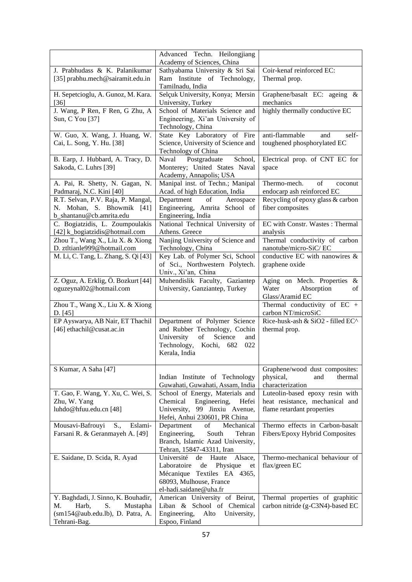|                                                                | Advanced Techn. Heilongjiang<br>Academy of Sciences, China                                                                         |                                                                     |
|----------------------------------------------------------------|------------------------------------------------------------------------------------------------------------------------------------|---------------------------------------------------------------------|
| J. Prabhudass & K. Palanikumar                                 | Sathyabama University & Sri Sai                                                                                                    | Coir-kenaf reinforced EC:                                           |
| [35] prabhu.mech@sairamit.edu.in                               | Ram Institute of Technology,                                                                                                       | Thermal prop.                                                       |
|                                                                | Tamilnadu, India                                                                                                                   |                                                                     |
| H. Sepetcioglu, A. Gunoz, M. Kara.                             | Selçuk University, Konya; Mersin                                                                                                   | Graphene/basalt EC: ageing &                                        |
| [36]                                                           | University, Turkey                                                                                                                 | mechanics                                                           |
| J. Wang, P Ren, F Ren, G Zhu, A                                | School of Materials Science and                                                                                                    | highly thermally conductive EC                                      |
| Sun, C You [37]                                                | Engineering, Xi'an University of                                                                                                   |                                                                     |
|                                                                | Technology, China                                                                                                                  |                                                                     |
| W. Guo, X. Wang, J. Huang, W.                                  | State Key Laboratory of Fire                                                                                                       | anti-flammable<br>self-<br>and                                      |
| Cai, L. Song, Y. Hu. [38]                                      | Science, University of Science and                                                                                                 | toughened phosphorylated EC                                         |
|                                                                | Technology of China                                                                                                                |                                                                     |
| B. Earp, J. Hubbard, A. Tracy, D.                              | School,<br>Postgraduate<br>Naval                                                                                                   | Electrical prop. of CNT EC for                                      |
| Sakoda, C. Luhrs [39]                                          | Monterey; United States Naval                                                                                                      | space                                                               |
|                                                                | Academy, Annapolis; USA                                                                                                            |                                                                     |
| A. Pai, R. Shetty, N. Gagan, N.                                | Manipal inst. of Techn.; Manipal<br>Acad. of high Education, India                                                                 | Thermo-mech.<br>of<br>coconut<br>endocarp ash reinforced EC         |
| Padmaraj, N.C. Kini [40]<br>R.T. Selvan, P.V. Raja, P. Mangal, | Department<br>of<br>Aerospace                                                                                                      | Recycling of epoxy glass & carbon                                   |
| N. Mohan, S. Bhowmik [41]                                      | Engineering, Amrita School of                                                                                                      | fiber composites                                                    |
| b_shantanu@cb.amrita.edu                                       | Engineering, India                                                                                                                 |                                                                     |
| C. Bogiatzidis, L. Zoumpoulakis                                | National Technical University of                                                                                                   | EC with Constr. Wastes: Thermal                                     |
| [42] k_bogiatzidis@hotmail.com                                 | Athens. Greece                                                                                                                     | analysis                                                            |
| Zhou T., Wang X., Liu X. & Xiong                               | Nanjing University of Science and                                                                                                  | Thermal conductivity of carbon                                      |
| D. ztltianle999@hotmail.com                                    | Technology, China                                                                                                                  | nanotube/micro-SiC/EC                                               |
| M. Li, C. Tang, L. Zhang, S. Qi [43]                           | Key Lab. of Polymer Sci, School                                                                                                    | conductive EC with nanowires &                                      |
|                                                                | of Sci., Northwestern Polytech.                                                                                                    | graphene oxide                                                      |
|                                                                | Univ., Xi'an, China                                                                                                                |                                                                     |
| Z. Oguz, A. Erklig, Ö. Bozkurt [44]                            | Muhendislik Faculty, Gaziantep                                                                                                     | Aging on Mech. Properties<br>&                                      |
| oguzeynal02@hotmail.com                                        | University, Ganziantep, Turkey                                                                                                     | Absorption<br>Water<br>of                                           |
|                                                                |                                                                                                                                    | Glass/Aramid EC                                                     |
| Zhou T., Wang X., Liu X. & Xiong<br>D. $[45]$                  |                                                                                                                                    | Thermal conductivity of EC $+$<br>carbon NT/microSiC                |
| EP Ayswarya, AB Nair, ET Thachil                               | Department of Polymer Science                                                                                                      | Rice-husk-ash & SiO2 - filled EC^                                   |
| [46] ethachil@cusat.ac.in                                      | and Rubber Technology, Cochin                                                                                                      | thermal prop.                                                       |
|                                                                | $% \left( \left( \mathcal{A},\mathcal{A}\right) \right) =\left( \mathcal{A},\mathcal{A}\right)$ of<br>Science<br>University<br>and |                                                                     |
|                                                                | Technology,<br>Kochi,<br>682<br>022                                                                                                |                                                                     |
|                                                                | Kerala, India                                                                                                                      |                                                                     |
| S Kumar, A Saha [47]                                           |                                                                                                                                    | Graphene/wood dust composites:                                      |
|                                                                | Indian Institute of Technology                                                                                                     | physical,<br>thermal<br>and                                         |
|                                                                | Guwahati, Guwahati, Assam, India                                                                                                   | characterization                                                    |
| T. Gao, F. Wang, Y. Xu, C. Wei, S.                             | School of Energy, Materials and                                                                                                    | Luteolin-based epoxy resin with                                     |
| Zhu, W. Yang                                                   | Chemical<br>Engineering,<br>Hefei                                                                                                  | heat resistance, mechanical and                                     |
| luhdo@hfuu.edu.cn [48]                                         | 99 Jinxiu Avenue,<br>University,                                                                                                   | flame retardant properties                                          |
|                                                                | Hefei, Anhui 230601, PR China                                                                                                      |                                                                     |
| Mousavi-Bafrouyi<br>S.,<br>Eslami-                             | Department<br>of<br>Mechanical                                                                                                     | Thermo effects in Carbon-basalt                                     |
| Farsani R. & Geranmayeh A. [49]                                | Engineering,<br>South<br>Tehran                                                                                                    | Fibers/Epoxy Hybrid Composites                                      |
|                                                                | Branch, Islamic Azad University,                                                                                                   |                                                                     |
|                                                                | Tehran, 15847-43311, Iran                                                                                                          |                                                                     |
| E. Saidane, D. Scida, R. Ayad                                  | Université<br>Alsace,<br>de<br>Haute                                                                                               | Thermo-mechanical behaviour of                                      |
|                                                                | de<br>Physique<br>Laboratoire<br>et                                                                                                | flax/green EC                                                       |
|                                                                | Mécanique Textiles EA 4365,                                                                                                        |                                                                     |
|                                                                | 68093, Mulhouse, France                                                                                                            |                                                                     |
|                                                                | el-hadi.saidane@uha.fr                                                                                                             |                                                                     |
| Y. Baghdadi, J. Sinno, K. Bouhadir,<br>Harb,<br>М.<br>S.       | American University of Beirut,<br>Liban & School of Chemical                                                                       | Thermal properties of graphitic<br>carbon nitride (g-C3N4)-based EC |
| Mustapha<br>(sm154@aub.edu.lb), D. Patra, A.                   | Engineering,<br>Alto<br>University,                                                                                                |                                                                     |
| Tehrani-Bag.                                                   | Espoo, Finland                                                                                                                     |                                                                     |
|                                                                |                                                                                                                                    |                                                                     |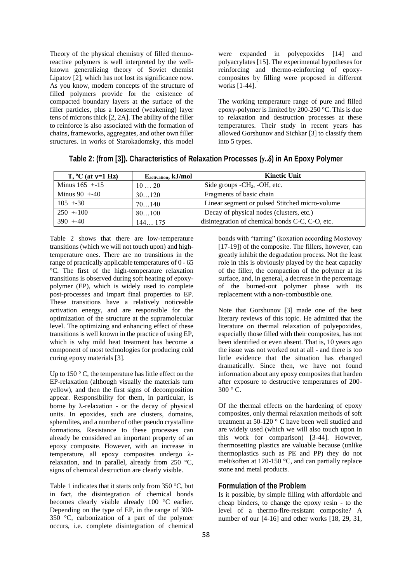Theory of the physical chemistry of filled thermoreactive polymers is well interpreted by the wellknown generalizing theory of Soviet chemist Lipatov [2], which has not lost its significance now. As you know, modern concepts of the structure of filled polymers provide for the existence of compacted boundary layers at the surface of the filler particles, plus a loosened (weakening) layer tens of microns thick [2, 2A]. The ability of the filler to reinforce is also associated with the formation of chains, frameworks, aggregates, and other own filler structures. In works of Starokadomsky, this model were expanded in polyepoxides [14] and polyacrylates [15]. The experimental hypotheses for reinforcing and thermo-reinforcing of epoxycomposites by filling were proposed in different works [1-44].

The working temperature range of pure and filled epoxy-polymer is limited by 200-250 °C. This is due to relaxation and destruction processes at these temperatures. Their study in recent years has allowed Gorshunov and Sichkar [3] to classify them into 5 types.

| $T, {}^{\circ}C$ (at $v=1$ Hz) | Eactivation, kJ/mol | <b>Kinetic Unit</b>                             |
|--------------------------------|---------------------|-------------------------------------------------|
| Minus $165 + 15$               | 1020                | Side groups $-CH_2$ , $-OH$ , etc.              |
| Minus $90 + -40$               | 30120               | Fragments of basic chain                        |
| $105 + -30$                    | 70140               | Linear segment or pulsed Stitched micro-volume  |
| $250 + 100$                    | 80100               | Decay of physical nodes (clusters, etc.)        |
| $390 + -40$                    | 144175              | disintegration of chemical bonds C-C, C-O, etc. |

| Table 2: (from [3]). Characteristics of Relaxation Processes (γδ) in An Epoxy Polyme৷ |  |  |  |
|---------------------------------------------------------------------------------------|--|--|--|
|---------------------------------------------------------------------------------------|--|--|--|

Table 2 shows that there are low-temperature transitions (which we will not touch upon) and hightemperature ones. There are no transitions in the range of practically applicable temperatures of 0 - 65 °C. The first of the high-temperature relaxation transitions is observed during soft heating of epoxypolymer (EP), which is widely used to complete post-processes and impart final properties to EP. These transitions have a relatively noticeable activation energy, and are responsible for the optimization of the structure at the supramolecular level. The optimizing and enhancing effect of these transitions is well known in the practice of using EP, which is why mild heat treatment has become a component of most technologies for producing cold curing epoxy materials [3].

Up to 150 ° C, the temperature has little effect on the EP-relaxation (although visually the materials turn yellow), and then the first signs of decomposition appear. Responsibility for them, in particular, is borne by  $\lambda$ -relaxation - or the decay of physical units. In epoxides, such are clusters, domains, spherulites, and a number of other pseudo crystalline formations. Resistance to these processes can already be considered an important property of an epoxy composite. However, with an increase in temperature, all epoxy composites undergo  $\lambda$ relaxation, and in parallel, already from 250 °C, signs of chemical destruction are clearly visible.

Table 1 indicates that it starts only from 350 °C, but in fact, the disintegration of chemical bonds becomes clearly visible already 100 °C earlier. Depending on the type of EP, in the range of 300- 350 °C, carbonization of a part of the polymer occurs, i.e. complete disintegration of chemical

bonds with "tarring" (koxation according Mostovoy [17-19]) of the composite. The fillers, however, can greatly inhibit the degradation process. Not the least role in this is obviously played by the heat capacity of the filler, the compaction of the polymer at its surface, and, in general, a decrease in the percentage of the burned-out polymer phase with its replacement with a non-combustible one.

Note that Gorshunov [3] made one of the best literary reviews of this topic. He admitted that the literature on thermal relaxation of polyepoxides, especially those filled with their composites, has not been identified or even absent. That is, 10 years ago the issue was not worked out at all - and there is too little evidence that the situation has changed dramatically. Since then, we have not found information about any epoxy composites that harden after exposure to destructive temperatures of 200-  $300 \degree$  C.

Of the thermal effects on the hardening of epoxy composites, only thermal relaxation methods of soft treatment at 50-120 ° C have been well studied and are widely used (which we will also touch upon in this work for comparison) [3-44]. However, thermosetting plastics are valuable because (unlike thermoplastics such as PE and PP) they do not melt/soften at 120-150 °C, and can partially replace stone and metal products.

#### **Formulation of the Problem**

Is it possible, by simple filling with affordable and cheap binders, to change the epoxy resin - to the level of a thermo-fire-resistant composite? A number of our [4-16] and other works [18, 29, 31,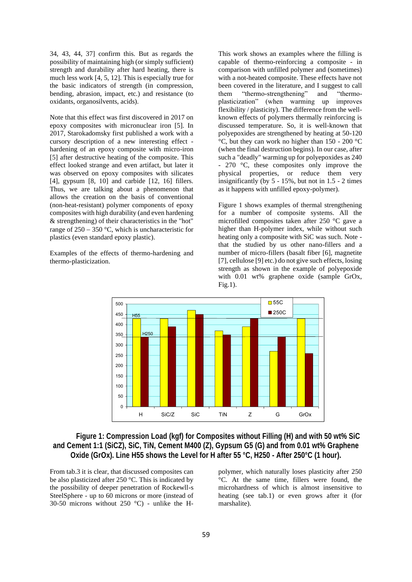34, 43, 44, 37] confirm this. But as regards the possibility of maintaining high (or simply sufficient) strength and durability after hard heating, there is much less work [4, 5, 12]. This is especially true for the basic indicators of strength (in compression, bending, abrasion, impact, etc.) and resistance (to oxidants, organosilvents, acids).

Note that this effect was first discovered in 2017 on epoxy composites with micronuclear iron [5]. In 2017, Starokadomsky first published a work with a cursory description of a new interesting effect hardening of an epoxy composite with micro-iron [5] after destructive heating of the composite. This effect looked strange and even artifact, but later it was observed on epoxy composites with silicates [4], gypsum [8, 10] and carbide [12, 16] fillers. Thus, we are talking about a phenomenon that allows the creation on the basis of conventional (non-heat-resistant) polymer components of epoxy composites with high durability (and even hardening & strengthening) of their characteristics in the "hot" range of 250 − 350 °C, which is uncharacteristic for plastics (even standard epoxy plastic).

Examples of the effects of thermo-hardening and thermo-plasticization.

This work shows an examples where the filling is capable of thermo-reinforcing a composite - in comparison with unfilled polymer and (sometimes) with a not-heated composite. These effects have not been covered in the literature, and I suggest to call them "thermo-strengthening" and "thermoplasticization" (when warming up improves flexibility / plasticity). The difference from the wellknown effects of polymers thermally reinforcing is discussed temperature. So, it is well-known that polyepoxides are strengthened by heating at 50-120 °C, but they can work no higher than 150 - 200 °C (when the final destruction begins). In our case, after such a "deadly" warming up for polyepoxides as 240 - 270 °C, these composites only improve the physical properties, or reduce them very insignificantly (by 5 - 15%, but not in 1.5 - 2 times as it happens with unfilled epoxy-polymer).

Figure 1 shows examples of thermal strengthening for a number of composite systems. All the microfilled composites taken after 250 °C gave a higher than H-polymer index, while without such heating only a composite with SiC was such. Note that the studied by us other nano-fillers and a number of micro-fillers (basalt fiber [6], magnetite [7], cellulose [9] etc.) do not give such effects, losing strength as shown in the example of polyepoxide with 0.01 wt% graphene oxide (sample GrOx,  $Fig.1)$ .



### **Figure 1: Compression Load (kgf) for Composites without Filling (H) and with 50 wt% SiC and Cement 1:1 (SiCZ), SiC, TiN, Cement M400 (Z), Gypsum G5 (G) and from 0.01 wt% Graphene Oxide (GrOx). Line H55 shows the Level for H after 55 °C, H250 - After 250°C (1 hour).**

From tab.3 it is clear, that discussed composites can be also plasticized after 250 °C. This is indicated by the possibility of deeper penetration of Rockewll-s SteelSphere - up to 60 microns or more (instead of 30-50 microns without 250 °C) - unlike the H-

polymer, which naturally loses plasticity after 250 °C. At the same time, fillers were found, the microhardness of which is almost insensitive to heating (see tab.1) or even grows after it (for marshalite).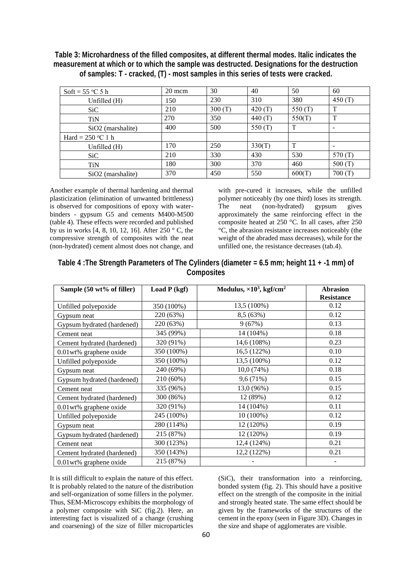**Table 3: Microhardness of the filled composites, at different thermal modes. Italic indicates the measurement at which or to which the sample was destructed. Designations for the destruction of samples: T - cracked, (T) - most samples in this series of tests were cracked.**

| Soft = $55^{\circ}$ C 5 h     | 20 mcm | 30     | 40        | 50           | 60        |
|-------------------------------|--------|--------|-----------|--------------|-----------|
| Unfilled (H)                  | 150    | 230    | 310       | 380          | 450 $(T)$ |
| S <sub>i</sub> C              | 210    | 300(T) | 420 $(T)$ | 550 (T)      | T         |
| <b>TiN</b>                    | 270    | 350    | 440 $(T)$ | 550(T)       | T         |
| SiO <sub>2</sub> (marshalite) | 400    | 500    | 550 $(T)$ | T            |           |
| Hard = $250$ °C 1 h           |        |        |           |              |           |
| Unfilled $(H)$                | 170    | 250    | 330(T)    | $\mathbf{T}$ |           |
| SiC                           | 210    | 330    | 430       | 530          | 570 (T)   |
| <b>TiN</b>                    | 180    | 300    | 370       | 460          | 500 $(T)$ |
| $SiO2$ (marshalite)           | 370    | 450    | 550       | 600(T)       | 700(T)    |

Another example of thermal hardening and thermal plasticization (elimination of unwanted brittleness) is observed for compositions of epoxy with waterbinders - gypsum G5 and cements M400-M500 (table 4). These effects were recorded and published by us in works [4, 8, 10, 12, 16]. After 250 ° C, the compressive strength of composites with the neat (non-hydrated) cement almost does not change, and with pre-cured it increases, while the unfilled polymer noticeably (by one third) loses its strength. The neat (non-hydrated) gypsum gives approximately the same reinforcing effect in the composite heated at 250 °C. In all cases, after 250 °C, the abrasion resistance increases noticeably (the weight of the abraded mass decreases), while for the unfilled one, the resistance decreases (tab.4).

| Composites                 |                |                                              |                                      |  |
|----------------------------|----------------|----------------------------------------------|--------------------------------------|--|
| Sample (50 wt% of filler)  | Load $P$ (kgf) | Modulus, $\times 10^3$ , kgf/cm <sup>2</sup> | <b>Abrasion</b><br><b>Resistance</b> |  |
| Unfilled polyepoxide       | 350 (100%)     | 13.5 (100%)                                  | 0.12                                 |  |
| Gypsum neat                | 220 (63%)      | 8.5(63%)                                     | 0.12                                 |  |
| Gypsum hydrated (hardened) | 220 (63%)      | 9(67%)                                       | 0.13                                 |  |
| Cement neat                | 345 (99%)      | 14 (104%)                                    | 0.18                                 |  |
| Cement hydrated (hardened) | 320 (91%)      | 14,6 (108%)                                  | 0.23                                 |  |
| $0.01$ wt% graphene oxide  | 350 (100%)     | 16,5 (122%)                                  | 0.10                                 |  |
| Unfilled polyepoxide       | 350 (100%)     | 13,5 (100%)                                  | 0.12                                 |  |
| Gypsum neat                | 240 (69%)      | 10.0(74%)                                    | 0.18                                 |  |
| Gypsum hydrated (hardened) | 210 (60%)      | 9,6(71%)                                     | 0.15                                 |  |
| Cement neat                | 335 (96%)      | 13,0 (96%)                                   | 0.15                                 |  |
| Cement hydrated (hardened) | 300 (86%)      | 12 (89%)                                     | 0.12                                 |  |
| $0.01$ wt% graphene oxide  | 320 (91%)      | 14 (104%)                                    | 0.11                                 |  |

Unfilled polyepoxide 245 (100%) 10 (100%) 0.12 Gypsum neat 280 (114%) 12 (120%) 0.19 Gypsum hydrated (hardened) 215 (87%) 12 (120%) 0.19 Cement neat 12,4 (124%) 12,4 (124%) 0.21 Cement hydrated (hardened) 350 (143%) 12,2 (122%) 0.21  $0.01$  wt% graphene oxide  $215 (87%)$  -

| Table 4 : The Strength Parameters of The Cylinders (diameter $= 6.5$ mm; height 11 + -1 mm) of |
|------------------------------------------------------------------------------------------------|
| <b>Composites</b>                                                                              |

It is still difficult to explain the nature of this effect. It is probably related to the nature of the distribution and self-organization of some fillers in the polymer. Thus, SEM-Microscopy exhibits the morphology of a polymer composite with SiC (fig.2). Here, an interesting fact is visualized of a change (crushing and coarsening) of the size of filler microparticles

(SiC), their transformation into a reinforcing, bonded system (fig. 2). This should have a positive effect on the strength of the composite in the initial and strongly heated state. The same effect should be given by the frameworks of the structures of the cement in the epoxy (seen in Figure 3D). Changes in the size and shape of agglomerates are visible.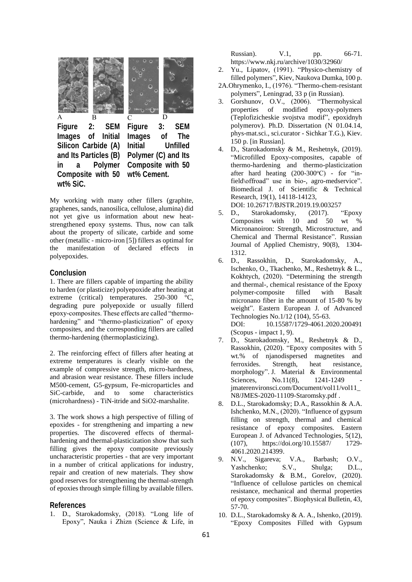

My working with many other fillers (graphite, graphenes, sands, nanosilica, cellulose, alumina) did not yet give us information about new heatstrengthened epoxy systems. Thus, now can talk about the property of silicate, carbide and some other (metallic - micro-iron [5]) fillers as optimal for the manifestation of declared effects in polyepoxides.

#### **Conclusion**

1. There are fillers capable of imparting the ability to harden (or plasticize) polyepoxide after heating at extreme (critical) temperatures. 250-300 °C, degrading pure polyepoxide or usually fillerd epoxy-composites. These effects are called "thermohardening" and "thermo-plasticization" of epoxy composites, and the corresponding fillers are called thermo-hardening (thermoplasticizing).

2. The reinforcing effect of fillers after heating at extreme temperatures is clearly visible on the example of compressive strength, micro-hardness, and abrasion wear resistance. These fillers include M500-cement, G5-gypsum, Fe-microparticles and SiC-carbide, and to some characteristics (microhardness) - TiN-itride and SiO2-marshalite.

3. The work shows a high perspective of filling of epoxides - for strengthening and imparting a new properties. The discovered effects of thermalhardening and thermal-plasticization show that such filling gives the epoxy composite previously uncharacteristic properties - that are very important in a number of critical applications for industry, repair and creation of new materials. They show good reserves for strengthening the thermal-strength of epoxies through simple filling by available fillers.

#### **References**

1. D., Starokadomsky, (2018). "Long life of Eрoxy", Nauka і Zhizn (Science & Life, in Russian). V.1, pp. 66-71. https://www.nkj.ru/archive/1030/32960/

- 2. Yu., Lipatov, (1991). "Physico-chemistry of filled polymers", Kiev, Naukova Dumka, 100 p.
- 2A.Ohrymenko, I., (1976). "Thermo-chem-resistant polymers", Leningrad, 33 p (in Russian).
- 3. Gorshunov, O.V., (2006). "Thermohysical properties of modified epoxy-polymers (Teplofizicheskie svojstva modif", epoxidnyh polymerov). Ph.D. Dissertation (N 01.04.14, phys-mat.sci., sci.curator - Sichkar T.G.), Kiev. 150 p. [in Russian].
- 4. D., Starokadomsky & M., Reshetnyk, (2019). "Microfilled Epoxy-composites, capable of thermo-hardening and thermo-plasticization after hard heating  $(200-300\degree\text{C})$  - for "infield\offroad" use in bio-, agro-medservice". Biomedical J. of Scientific & Technical Research, 19(1), 14118-14123, DOI: 10.26717/BJSTR.2019.19.003257
- 5. D., Starokadomsky, (2017). "Epoxy Composites with 10 and 50 wt % Micronanoiron: Strength, Microstructure, and Chemical and Thermal Resistance". Russian Journal of Applied Chemistry, 90(8), 1304- 1312.
- 6. D., Rassokhin, D., Starokadomsky, A., Ischenko, O., Tkachenko, M., Reshetnyk & L., Kokhtych, (2020). "Determining the strength and thermal-, chemical resistance of the Epoxy polymer-composite filled with Basalt micronano fiber in the amount of 15-80 % by weight". Eastern European J. of Advanced Technologies No.1/12 (104), 55-63. DOI: 10.15587/1729-4061.2020.200491 (Scopus - impact 1, 9).
- 7. D., Starokadomsky, M., Reshetnyk & D., Rassokhin, (2020). "Epoxy composites with 5 wt.% of njanodispersed magnetites and ferroxides. Strength, heat resistance, morphology". J. Material & Environmental Sciences, No.11(8), 1241-1249 jmaterenvironsci.com/Document/vol11/vol11\_ N8/JMES-2020-11109-Staromsky.pdf .
- 8. D.L., Starokadomsky; D.A., Rassokhin & A.A. Ishchenko, M.N., (2020). "Influence of gypsum filling on strength, thermal and chemical resistance of epoxy composites. Eastern European J. of Advanced Technologies, 5(12), (107), https://doi.org/10.15587/ 1729- 4061.2020.214399.
- 9. N.V., Sigareva; V.A., Barbash; O.V., Yashchenko; S.V., Shulga; D.L., Starokadomsky & B.M., Gorelov, (2020). "Influence of cellulose particles on chemical resistance, mechanical and thermal properties of epoxy composites". Biophysical Bulletin, 43, 57-70.
- 10. D.L., Starokadomsky & A. A., Ishenko, (2019). "Epoxy Composites Filled with Gypsum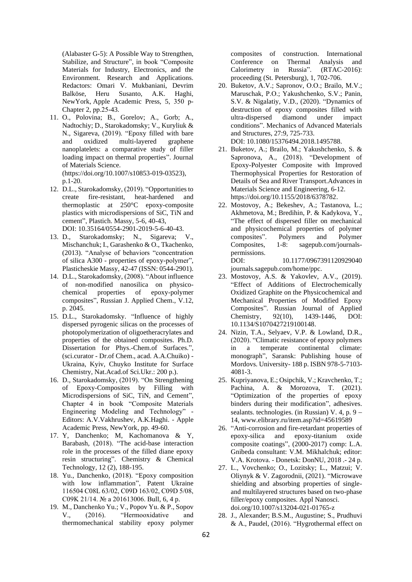(Alabaster G-5): A Possible Way to Strengthen, Stabilize, and Structure", in book "Composite Materials for Industry, Electronics, and the Environment. Research and Applications. Redactors: Omari V. Mukbaniani, Devrim Balköse, Heru Susanto, A.K. Haghi, NewYork, Apple Academic Press, 5, 350 р-Chapter 2, рр.25-43.

- 11. O., Polovina; B., Gorelov; A., Gorb; A., Nadtochiy; D., Starokadomsky; V., Kuryliuk & N., Sigareva, (2019). "Epoxy filled with bare and oxidized multi-layered graphene nanoplatelets: a comparative study of filler loading impact on thermal properties". Journal of Materials Science. (https://doi.org/10.1007/s10853-019-03523), p.1-20.
- 12. D.L., Starokadomsky, (2019). "Opportunities to create fire-resistant, heat-hardened and thermoplastic at 250°C epoxy-composite plastics with microdispersions of SiC, TiN and cement", Plastich. Massy, 5-6, 40-43, DOI: 10.35164/0554-2901-2019-5-6-40-43.
- 13. D., Starokadomsky; N., Sigareva; V., Mischanchuk; I., Garashenko & O., Tkachenko, (2013). "Analyse of behaviors "concentration of silica A300 - properties of epoxy-polymer", Plasticheskie Massy, 42-47 (ISSN: 0544-2901).
- 14. D.L., Starokadomsky, (2008). "About influence of non-modified nanosilica on physicochemical properties of epoxy-polymer composites", Russian J. Applied Chem., V.12, p. 2045.
- 15. D.L., Starokadomsky. "Influence of highly dispersed pyrogenic silicas on the processes of photopolymerization of oligoetheracrylates and properties of the obtained composites. Ph.D. Dissertation for Phys.-Chem.of Surfaces.", (sci.curator - Dr.of Chem., acad. A.A.Chuiko) - Ukraina, Kyiv, Chuyko Institute for Surface Chemistry, Nat.Acad.of Sci.Ukr.: 200 p.).
- 16. D., Starokadomsky, (2019). "On Strengthening of Epoxy-Composites by Filling with Microdispersions of SiC, TiN, and Cement", Chapter 4 in book "Composite Materials Engineering Modeling and Technology" - Editors: A.V.Vakhrushev, A.K.Haghi. - Apple Academic Press, NewYork, pp. 49-60.
- 17. Y, Danchenko; M, Kachomanova & Y, Barabash, (2018). "The acid-base interaction role in the processes of the filled diane epoxy resin structuring". Chemistry & Chemical Technology, 12 (2), 188-195.
- 18. Yu., Danchenko, (2018). "Epoxy composition with low inflammation", Patent Ukraine 116504 C08L 63/02, С09D 163/02, C09D 5/08, C09K 21/14. № а 201613006. Bull, 6, 4 p.
- 19. M., Danchenko Yu.; V., Popov Yu. & P., Sopov V., (2016). "Hermooxidativе and thermomechanical stability epoxy polymer

composites of construction. International Conference on Thermal Analysis and Calorimetry in Russia". (RTAC-2016): proceeding (St. Petersburg), 1, 702-706.

- 20. Buketov, A.V.; Sapronov, О.О.; Brailo, M.V.; Maruschak, P.О.; Yakushchenko, S.V.; Panin, S.V. & Nigalatiy, V.D., (2020). "Dynamics of destruction of epoxy composites filled with ultra-dispersed diamond under impact conditions". Mechanics of Advanced Materials and Structures, 27:9, 725-733. DOI: 10.1080/15376494.2018.1495788.
- 21. Buketov, A.; Brailo, M.; Yakushchenko, S. & Sapronova, A., (2018). "Development of Epoxy-Polyester Composite with Improved Thermophysical Properties for Restoration of Details of Sea and River Transport.Advances in Materials Science and Engineering, 6-12. https://doi.org/10.1155/2018/6378782.
- 22. Mostovoy, A.; Bekeshev, A.; Tastanova, L.; Akhmetova, M.; Bredihin, P. & Kadykova, Y., "The effect of dispersed filler on mechanical and physicochemical properties of polymer composites". Polymers and Polymer Composites, 1-8: sagepub.com/journalspermissions. DOI: 10.1177/0967391120929040

journals.sagepub.com/home/ppc.

- 23. Mostovoy, A.S. & Yakovlev, A.V., (2019). "Effect of Additions of Electrochemically Oxidized Graphite on the Physicochemical and Mechanical Properties of Modified Epoxy Composites". Russian Journal of Applied Chemistry, 92(10), 1439-1446, DOI: 10.1134/S1070427219100148.
- 24. Nizin, T.A., Selyaev, V.P. & Lowland, D.R., (2020). "Climatic resistance of epoxy polymers in a temperate continental climate: monograph", Saransk: Publishing house of Mordovs. University- 188 p. ISBN 978-5-7103- 4081-3.
- 25. Kupriyanova, E.; Osipchik, V.; Kravchenko, T.; Pachina, A. & Morozova, T. (2021). "Optimization of the properties of epoxy binders during their modification", adhesives. sealants. technologies. (in Russian) V. 4, p. 9 − 14, www.elibrary.ru/item.asp?id=45619589
- 26. "Anti-corrosion and fire-retardant properties of epoxy-silica and epoxy-titanium oxide composite coatings", (2000-2017) comp: L.A. Gnibeda consultant: V.M. Mikhalchuk; editor: V.A. Krotova. - Donetsk: DonNU, 2018 .- 24 p.
- 27. L., Vovchenko; O., Lozitsky; L., Matzui; V. Oliynyk & V. Zagorodnii, (2021). "Microwave shielding and absorbing properties of singleand multilayered structures based on two-phase filler/epoxy composites. Appl Nanosci. doi.org/10.1007/s13204-021-01765-z
- 28. J., Alexander; B.S.M., Augustine; S., Prudhuvi & A., Paudel, (2016). "Hygrothermal effect on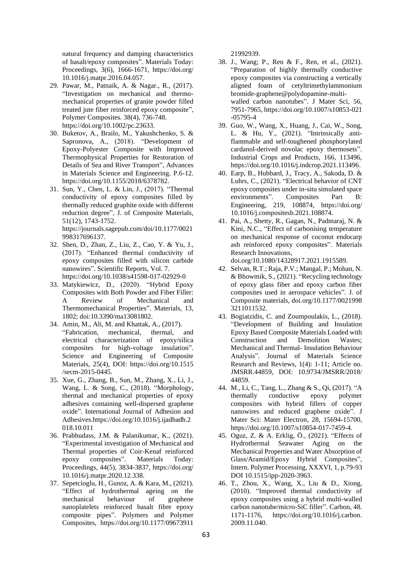natural frequency and damping characteristics of basalt/epoxy composites". Materials Today: Proceedings, 3(6), 1666-1671, https://doi.org/ 10.1016/j.matpr.2016.04.057.

- 29. Pawar, M., Patnaik, A. & Nagar., R., (2017). "Investigation on mechanical and thermomechanical properties of granite powder filled treated jute fiber reinforced epoxy composite", Polymer Composites. 38(4), 736-748. https://doi.org/10.1002/pc.23633.
- 30. Buketov, A., Brailo, M., Yakushchenko, S. & Sapronova, A., (2018). "Development of Epoxy-Polyester Composite with Improved Thermophysical Properties for Restoration of Details of Sea and River Transport", Advances in Materials Science and Engineering. P.6-12. https://doi.org/10.1155/2018/6378782.
- 31. Sun, Y., Chen, L. & Lin, J., (2017). "Thermal conductivity of epoxy composites filled by thermally reduced graphite oxide with different reduction degree", J. of Composite Materials, 51(12), 1743-1752. https://journals.sagepub.com/doi/10.1177/0021 998317696137.
- 32. Shen, D., Zhan, Z., Liu, Z., Cao, Y. & Yu, J., (2017). "Enhanced thermal conductivity of epoxy composites filled with silicon carbide nanowires". Scientific Reports, Vol. 7. https://doi.org/10.1038/s41598-017-02929-0
- 33. Matykiewicz, D., (2020). "Hybrid Epoxy Composites with Both Powder and Fiber Filler: A Review of Mechanical and Thermomechanical Properties". Materials, 13, 1802; doi:10.3390/ma13081802.
- 34. Amin, M., Ali, M. and Khattak, A., (2017). "Fabrication, mechanical, thermal, and electrical characterization of epoxy/silica composites for high-voltage insulation". Science and Engineering of Composite Materials, 25(4), DOI: https://doi.org/10.1515 /secm-2015-0445.
- 35. Xue, G., Zhang, B., Sun, M., Zhang, X., Li, J., Wang, L. & Song, C., (2018). "Morphology, thermal and mechanical properties of epoxy adhesives containing well-dispersed graphene oxide". International Journal of Adhesion and Adhesives.https://doi.org/10.1016/j.ijadhadh.2 018.10.011
- 36. Prabhudass, J.M. & Palanikumar, K., (2021). "Experimental investigation of Mechanical and Thermal properties of Coir-Kenaf reinforced epoxy composites". Materials Today: Proceedings, 44(5), 3834-3837, https://doi.org/ 10.1016/j.matpr.2020.12.338.
- 37. Sepetcioglu, H., Gunoz, A. & Kara, M., (2021). "Effect of hydrothermal ageing on the mechanical behaviour of graphene nanoplatelets reinforced basalt fibre epoxy composite pipes". Polymers and Polymer Composites, https://doi.org/10.1177/09673911

21992939.

- 38. J., Wang; P., Ren & F., Ren, et al., (2021). "Preparation of highly thermally conductive epoxy composites via constructing a vertically aligned foam of cetyltrimethylammonium bromide-graphene@polydopamine-multiwalled carbon nanotubes". J Mater Sci, 56, 7951-7965, https://doi.org/10.1007/s10853-021 -05795-4
- 39. Guo, W., Wang, X., Huang, J., Cai, W., Song, L. & Hu, Y., (2021). "Intrinsically antiflammable and self-toughened phosphorylated cardanol-derived novolac epoxy thermosets". Industrial Crops and Products, 166, 113496, https://doi.org/10.1016/j.indcrop.2021.113496.
- 40. Earp, B., Hubbard, J., Tracy, A., Sakoda, D. & Luhrs, C., (2021). "Electrical behavior of CNT epoxy composites under in-situ simulated space environments". Composites Part B: Engineering, 219, 108874, https://doi.org/ 10.1016/j.compositesb.2021.108874.
- 41. Pai, A., Shetty, R., Gagan, N., Padmaraj, N. & Kini, N.C., "Effect of carbonising temperature on mechanical response of coconut endocarp ash reinforced epoxy composites". Materials Research Innovations, doi.org/10.1080/14328917.2021.1915589.
- 42. Selvan, R.T.; Raja, P.V.; Mangal, P.; Mohan, N. & Bhowmik, S., (2021). "Recycling technology of epoxy glass fiber and epoxy carbon fiber composites used in aerospace vehicles". J. of Composite materials, doi.org/10.1177/0021998 3211011532.
- 43. Bogiatzidis, C. and Zoumpoulakis, L., (2018). "Development of Building and Insulation Epoxy Based Composite Materials Loaded with Construction and Demolition Wastes; Mechanical and Thermal- Insulation Behaviour Analysis". Journal of Materials Science Research and Reviews, 1(4): 1-11; Article no. JMSRR.44859, DOI: 10.9734/JMSRR/2018/ 44859.
- 44. M., Li, C., Tang, L., Zhang & S., Qi, (2017). "A thermally conductive epoxy polymer composites with hybrid fillers of copper nanowires and reduced graphene oxide". J Mater Sci: Mater Electron, 28, 15694-15700, https://doi.org/10.1007/s10854-017-7459-4.
- 45. Oguz, Z. & A. Erklig, Ö., (2021). "Effects of Hydrothermal Seawater Aging on the Mechanical Properties and Water Absorption of Glass/Aramid/Epoxy Hybrid Composites", Intern. Polymer Processing, XXXVI, 1, p.79-93 DOI 10.1515/ipp-2020-3963.
- 46. T., Zhou, X., Wang, X., Liu & D., Xiong, (2010). "Improved thermal conductivity of epoxy composites using a hybrid multi-walled carbon nanotube/micro-SiC filler". Carbon, 48. 1171-1176, https://doi.org/10.1016/j.carbon. 2009.11.040.